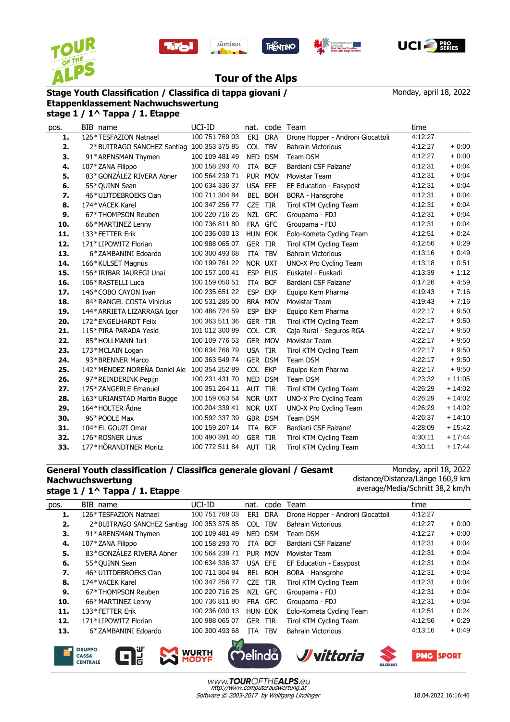









## **Tour of the Alps**

## **Stage Youth Classification / Classifica di tappa giovani /**

Monday, april 18, 2022

## **Etappenklassement Nachwuchswertung stage 1 / 1^ Tappa / 1. Etappe**

| pos. | BIB name                                  | UCI-ID         | nat.       | code           | Team                              | time    |          |
|------|-------------------------------------------|----------------|------------|----------------|-----------------------------------|---------|----------|
| 1.   | 126*TESFAZION Natnael                     | 100 751 769 03 | ERI        | <b>DRA</b>     | Drone Hopper - Androni Giocattoli | 4:12:27 |          |
| 2.   | 2*BUITRAGO SANCHEZ Santiag 100 353 375 85 |                |            | COL TBV        | <b>Bahrain Victorious</b>         | 4:12:27 | $+0:00$  |
| 3.   | 91*ARENSMAN Thymen                        | 100 109 481 49 | <b>NED</b> | <b>DSM</b>     | Team DSM                          | 4:12:27 | $+0.00$  |
| 4.   | 107 * ZANA Filippo                        | 100 158 293 70 | ITA        | <b>BCF</b>     | Bardiani CSF Faizane'             | 4:12:31 | $+0.04$  |
| 5.   | 83*GONZÁLEZ RIVERA Abner                  | 100 564 239 71 |            | PUR MOV        | Movistar Team                     | 4:12:31 | $+0.04$  |
| 6.   | 55*QUINN Sean                             | 100 634 336 37 |            | USA EFE        | EF Education - Easypost           | 4:12:31 | $+0.04$  |
| 7.   | 46*UIJTDEBROEKS Cian                      | 100 711 304 84 | BEL        | <b>BOH</b>     | BORA - Hansgrohe                  | 4:12:31 | $+0:04$  |
| 8.   | 174*VACEK Karel                           | 100 347 256 77 | <b>CZE</b> | TIR            | Tirol KTM Cycling Team            | 4:12:31 | $+0:04$  |
| 9.   | 67*THOMPSON Reuben                        | 100 220 716 25 | NZL        | <b>GFC</b>     | Groupama - FDJ                    | 4:12:31 | $+0.04$  |
| 10.  | 66*MARTINEZ Lenny                         | 100 736 811 80 |            | FRA GFC        | Groupama - FDJ                    | 4:12:31 | $+0.04$  |
| 11.  | 133*FETTER Erik                           | 100 236 030 13 |            | HUN EOK        | Eolo-Kometa Cycling Team          | 4:12:51 | $+0.24$  |
| 12.  | 171*LIPOWITZ Florian                      | 100 988 065 07 |            | <b>GER TIR</b> | Tirol KTM Cycling Team            | 4:12:56 | $+0.29$  |
| 13.  | 6*ZAMBANINI Edoardo                       | 100 300 493 68 | ITA        | <b>TBV</b>     | <b>Bahrain Victorious</b>         | 4:13:16 | $+0.49$  |
| 14.  | 166*KULSET Magnus                         | 100 199 761 22 |            | NOR UXT        | UNO-X Pro Cycling Team            | 4:13:18 | $+0.51$  |
| 15.  | 156*IRIBAR JAUREGI Unai                   | 100 157 100 41 | <b>ESP</b> | <b>EUS</b>     | Euskatel - Euskadi                | 4:13:39 | $+1:12$  |
| 16.  | 106 * RASTELLI Luca                       | 100 159 050 51 | <b>ITA</b> | <b>BCF</b>     | Bardiani CSF Faizane'             | 4:17:26 | $+4.59$  |
| 17.  | 146*COBO CAYON Ivan                       | 100 235 651 22 | <b>ESP</b> | <b>EKP</b>     | Equipo Kern Pharma                | 4:19:43 | $+7:16$  |
| 18.  | 84 * RANGEL COSTA Vinicius                | 100 531 285 00 | BRA        | <b>MOV</b>     | <b>Movistar Team</b>              | 4:19:43 | $+7:16$  |
| 19.  | 144* ARRIETA LIZARRAGA Igor               | 100 486 724 59 | <b>ESP</b> | <b>EKP</b>     | Equipo Kern Pharma                | 4:22:17 | $+9.50$  |
| 20.  | 172 * ENGELHARDT Felix                    | 100 363 511 36 | <b>GER</b> | TIR            | Tirol KTM Cycling Team            | 4:22:17 | $+9.50$  |
| 21.  | 115*PIRA PARADA Yesid                     | 101 012 300 89 |            | COL CJR        | Caja Rural - Seguros RGA          | 4:22:17 | $+9.50$  |
| 22.  | 85*HOLLMANN Juri                          | 100 109 776 53 |            | GER MOV        | <b>Movistar Team</b>              | 4:22:17 | $+9.50$  |
| 23.  | 173*MCLAIN Logan                          | 100 634 766 79 |            | USA TIR        | Tirol KTM Cycling Team            | 4:22:17 | $+9.50$  |
| 24.  | 93*BRENNER Marco                          | 100 363 549 74 |            | GER DSM        | Team DSM                          | 4:22:17 | $+9:50$  |
| 25.  | 142*MENDEZ NOREÑA Daniel Ale              | 100 354 252 89 |            | COL EKP        | Equipo Kern Pharma                | 4:22:17 | $+9:50$  |
| 26.  | 97*REINDERINK Pepijn                      | 100 231 431 70 |            | NED DSM        | Team DSM                          | 4:23:32 | $+11:05$ |
| 27.  | 175 * ZANGERLE Emanuel                    | 100 351 264 11 |            | AUT TIR        | Tirol KTM Cycling Team            | 4:26:29 | $+14:02$ |
| 28.  | 163*URIANSTAD Martin Bugge                | 100 159 053 54 |            | NOR UXT        | UNO-X Pro Cycling Team            | 4:26:29 | $+14:02$ |
| 29.  | 164*HOLTER Ådne                           | 100 204 339 41 |            | NOR UXT        | UNO-X Pro Cycling Team            | 4:26:29 | $+14:02$ |
| 30.  | 96*POOLE Max                              | 100 592 337 39 |            | GBR DSM        | Team DSM                          | 4:26:37 | $+14:10$ |
| 31.  | 104 * EL GOUZI Omar                       | 100 159 207 14 | ITA        | <b>BCF</b>     | Bardiani CSF Faizane'             | 4:28:09 | $+15:42$ |
| 32.  | 176*ROSNER Linus                          | 100 490 391 40 |            | <b>GER TIR</b> | Tirol KTM Cycling Team            | 4:30:11 | $+17:44$ |
| 33.  | 177*HÖRANDTNER Moritz                     | 100 772 511 84 | AUT TIR    |                | Tirol KTM Cycling Team            | 4:30:11 | $+17:44$ |

## **General Youth classification / Classifica generale giovani / Gesamt Nachwuchswertung stage 1 / 1^ Tappa / 1. Etappe**

Monday, april 18, 2022 distance/Distanza/Länge 160,9 km average/Media/Schnitt 38,2 km/h

| pos. | BIB name                   | UCI-ID         | nat.           | code       | Team                              | time    |         |
|------|----------------------------|----------------|----------------|------------|-----------------------------------|---------|---------|
| 1.   | 126*TESFAZION Natnael      | 100 751 769 03 | ERI            | <b>DRA</b> | Drone Hopper - Androni Giocattoli | 4:12:27 |         |
| 2.   | 2*BUITRAGO SANCHEZ Santiag | 100 353 375 85 | COL.           | <b>TBV</b> | <b>Bahrain Victorious</b>         | 4:12:27 | $+0:00$ |
| З.   | 91*ARENSMAN Thymen         | 100 109 481 49 | <b>NED</b>     | <b>DSM</b> | Team DSM                          | 4:12:27 | $+0:00$ |
| 4.   | 107*ZANA Filippo           | 100 158 293 70 | ITA            | BCF        | Bardiani CSF Faizane'             | 4:12:31 | $+0:04$ |
| 5.   | 83*GONZÁLEZ RIVERA Abner   | 100 564 239 71 | <b>PUR</b>     | <b>MOV</b> | Movistar Team                     | 4:12:31 | $+0:04$ |
| 6.   | 55*QUINN Sean              | 100 634 336 37 | USA EFE        |            | EF Education - Easypost           | 4:12:31 | $+0:04$ |
| 7.   | 46*UIJTDEBROEKS Cian       | 100 711 304 84 | BEL            | <b>BOH</b> | BORA - Hansgrohe                  | 4:12:31 | $+0:04$ |
| 8.   | 174*VACEK Karel            | 100 347 256 77 | CZE            | TIR        | Tirol KTM Cycling Team            | 4:12:31 | $+0:04$ |
| 9.   | 67*THOMPSON Reuben         | 100 220 716 25 |                | NZL GFC    | Groupama - FDJ                    | 4:12:31 | $+0:04$ |
| 10.  | 66*MARTINEZ Lenny          | 100 736 811 80 | FRA            | GFC        | Groupama - FDJ                    | 4:12:31 | $+0:04$ |
| 11.  | 133*FETTER Erik            | 100 236 030 13 | HUN EOK        |            | Eolo-Kometa Cycling Team          | 4:12:51 | $+0:24$ |
| 12.  | 171*LIPOWITZ Florian       | 100 988 065 07 | <b>GER TIR</b> |            | Tirol KTM Cycling Team            | 4:12:56 | $+0.29$ |
| 13.  | 6*ZAMBANINI Edoardo        | 100 300 493 68 | ITA            | <b>TBV</b> | <b>Bahrain Victorious</b>         | 4:13:16 | $+0:49$ |
|      |                            | $ \sim$        |                |            |                                   |         |         |